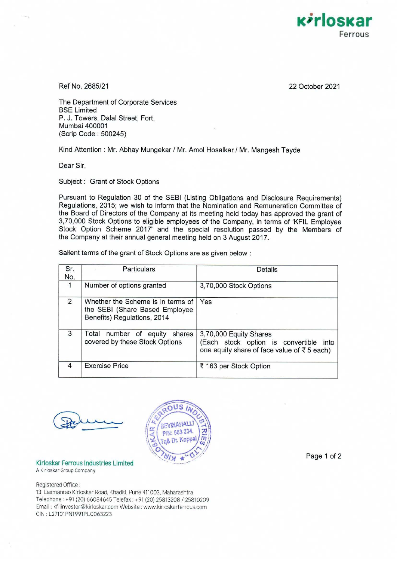

Ref No. 2685/21

22 October 2021

The Department of Corporate Services BSE Limited P. J. Towers, Dalal Street, Fort, Mumbai 400001 (Scrip Code: 500245)

Kind Attention : Mr. Abhay Mungekar / Mr. Amol Hosalkar / Mr. Mangesh Tayde

Dear Sir,

Subject : Grant of Stock Options

Pursuant to Regulation 30 of the SEBI (Listing Obligations and Disclosure Requirements) Regulations, 2015; we wish to inform that the Nomination and Remuneration Committee of the Board of Directors of the Company at its meeting held today has approved the grant of 3,70,000 Stock Options to eligible employees of the Company, in terms of 'KFIL Employee Stock Option Scheme 2017' and the special resolution passed by the Members of the Company at their annual general meeting held on 3 August 2017.

Salient terms of the grant of Stock Options are as given below :

| Sr.<br>No.     | Particulars                                                                                        | Details                                                                                                           |
|----------------|----------------------------------------------------------------------------------------------------|-------------------------------------------------------------------------------------------------------------------|
| 1              | Number of options granted                                                                          | 3,70,000 Stock Options                                                                                            |
| $\overline{2}$ | Whether the Scheme is in terms of<br>the SEBI (Share Based Employee<br>Benefits) Regulations, 2014 | Yes                                                                                                               |
| 3              | Total number of equity<br>shares<br>covered by these Stock Options                                 | 3,70,000 Equity Shares<br>(Each stock option is convertible<br>into<br>one equity share of face value of ₹5 each) |
| 4              | <b>Exercise Price</b>                                                                              | ₹ 163 per Stock Option                                                                                            |



Klrloskar Ferrous Industries Limited A Kirloskar Group Company

Registered Office:

13, Laxmanrao Kirloskar Road, Khadki, Pune 411003, Maharashtra Telephone: +91 (20) 66084645 Telefax: +91 (20) 25813208 / 25810209 Email: kfilinvestor@kirloskar.com Website: www kirloskarferrous.com CIN: L27101PN1991PLC063223

Page 1 of 2